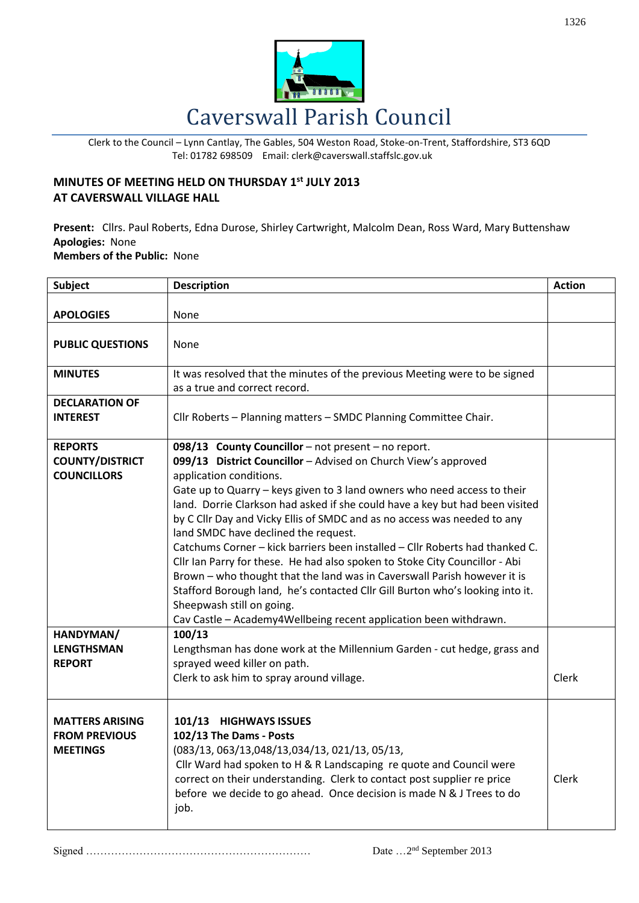

Clerk to the Council – Lynn Cantlay, The Gables, 504 Weston Road, Stoke-on-Trent, Staffordshire, ST3 6QD Tel: 01782 698509 Email: clerk@caverswall.staffslc.gov.uk

## **MINUTES OF MEETING HELD ON THURSDAY 1 st JULY 2013 AT CAVERSWALL VILLAGE HALL**

**Present:** Cllrs. Paul Roberts, Edna Durose, Shirley Cartwright, Malcolm Dean, Ross Ward, Mary Buttenshaw **Apologies:** None **Members of the Public:** None

| <b>Subject</b>                                                    | <b>Description</b>                                                                                                                                                                                                                                                                                                                                                                                                                                                                                                                                                                                                                                                                                                                                                                                                                                             | <b>Action</b> |
|-------------------------------------------------------------------|----------------------------------------------------------------------------------------------------------------------------------------------------------------------------------------------------------------------------------------------------------------------------------------------------------------------------------------------------------------------------------------------------------------------------------------------------------------------------------------------------------------------------------------------------------------------------------------------------------------------------------------------------------------------------------------------------------------------------------------------------------------------------------------------------------------------------------------------------------------|---------------|
| <b>APOLOGIES</b>                                                  | None                                                                                                                                                                                                                                                                                                                                                                                                                                                                                                                                                                                                                                                                                                                                                                                                                                                           |               |
|                                                                   |                                                                                                                                                                                                                                                                                                                                                                                                                                                                                                                                                                                                                                                                                                                                                                                                                                                                |               |
| <b>PUBLIC QUESTIONS</b>                                           | None                                                                                                                                                                                                                                                                                                                                                                                                                                                                                                                                                                                                                                                                                                                                                                                                                                                           |               |
| <b>MINUTES</b>                                                    | It was resolved that the minutes of the previous Meeting were to be signed<br>as a true and correct record.                                                                                                                                                                                                                                                                                                                                                                                                                                                                                                                                                                                                                                                                                                                                                    |               |
| <b>DECLARATION OF</b><br><b>INTEREST</b>                          | Cllr Roberts - Planning matters - SMDC Planning Committee Chair.                                                                                                                                                                                                                                                                                                                                                                                                                                                                                                                                                                                                                                                                                                                                                                                               |               |
| <b>REPORTS</b><br><b>COUNTY/DISTRICT</b><br><b>COUNCILLORS</b>    | 098/13 County Councillor - not present - no report.<br>099/13 District Councillor - Advised on Church View's approved<br>application conditions.<br>Gate up to Quarry - keys given to 3 land owners who need access to their<br>land. Dorrie Clarkson had asked if she could have a key but had been visited<br>by C Cllr Day and Vicky Ellis of SMDC and as no access was needed to any<br>land SMDC have declined the request.<br>Catchums Corner - kick barriers been installed - Cllr Roberts had thanked C.<br>Cllr Ian Parry for these. He had also spoken to Stoke City Councillor - Abi<br>Brown - who thought that the land was in Caverswall Parish however it is<br>Stafford Borough land, he's contacted Cllr Gill Burton who's looking into it.<br>Sheepwash still on going.<br>Cav Castle - Academy4Wellbeing recent application been withdrawn. |               |
| HANDYMAN/<br><b>LENGTHSMAN</b><br><b>REPORT</b>                   | 100/13<br>Lengthsman has done work at the Millennium Garden - cut hedge, grass and<br>sprayed weed killer on path.<br>Clerk to ask him to spray around village.                                                                                                                                                                                                                                                                                                                                                                                                                                                                                                                                                                                                                                                                                                | Clerk         |
| <b>MATTERS ARISING</b><br><b>FROM PREVIOUS</b><br><b>MEETINGS</b> | 101/13 HIGHWAYS ISSUES<br>102/13 The Dams - Posts<br>(083/13, 063/13, 048/13, 034/13, 021/13, 05/13,<br>Cllr Ward had spoken to H & R Landscaping re quote and Council were<br>correct on their understanding. Clerk to contact post supplier re price<br>before we decide to go ahead. Once decision is made N & J Trees to do<br>job.                                                                                                                                                                                                                                                                                                                                                                                                                                                                                                                        | Clerk         |

Signed ……………………………………………………… Date …2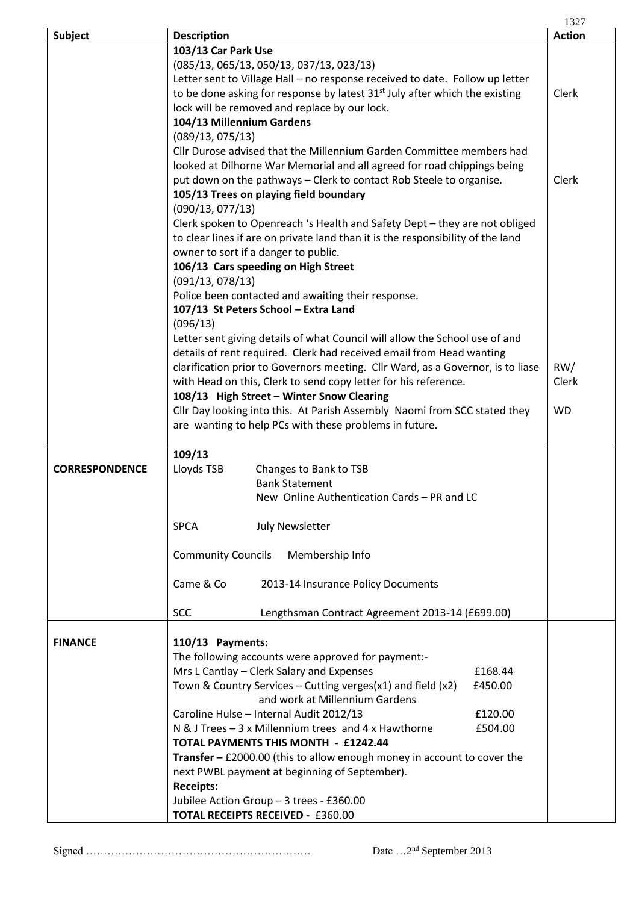|                       |                                                                                         | 1327          |
|-----------------------|-----------------------------------------------------------------------------------------|---------------|
| <b>Subject</b>        | <b>Description</b>                                                                      | <b>Action</b> |
|                       | 103/13 Car Park Use                                                                     |               |
|                       | (085/13, 065/13, 050/13, 037/13, 023/13)                                                |               |
|                       | Letter sent to Village Hall - no response received to date. Follow up letter            |               |
|                       | to be done asking for response by latest 31 <sup>st</sup> July after which the existing | Clerk         |
|                       | lock will be removed and replace by our lock.                                           |               |
|                       | 104/13 Millennium Gardens                                                               |               |
|                       | (089/13, 075/13)                                                                        |               |
|                       | Cllr Durose advised that the Millennium Garden Committee members had                    |               |
|                       | looked at Dilhorne War Memorial and all agreed for road chippings being                 |               |
|                       | put down on the pathways - Clerk to contact Rob Steele to organise.                     | Clerk         |
|                       | 105/13 Trees on playing field boundary                                                  |               |
|                       | (090/13, 077/13)                                                                        |               |
|                       | Clerk spoken to Openreach 's Health and Safety Dept - they are not obliged              |               |
|                       | to clear lines if are on private land than it is the responsibility of the land         |               |
|                       | owner to sort if a danger to public.                                                    |               |
|                       | 106/13 Cars speeding on High Street                                                     |               |
|                       | (091/13, 078/13)                                                                        |               |
|                       | Police been contacted and awaiting their response.                                      |               |
|                       | 107/13 St Peters School - Extra Land                                                    |               |
|                       | (096/13)                                                                                |               |
|                       | Letter sent giving details of what Council will allow the School use of and             |               |
|                       | details of rent required. Clerk had received email from Head wanting                    |               |
|                       | clarification prior to Governors meeting. Cllr Ward, as a Governor, is to liase         | RW/           |
|                       | with Head on this, Clerk to send copy letter for his reference.                         | Clerk         |
|                       | 108/13 High Street - Winter Snow Clearing                                               |               |
|                       | Cllr Day looking into this. At Parish Assembly Naomi from SCC stated they               | <b>WD</b>     |
|                       | are wanting to help PCs with these problems in future.                                  |               |
|                       |                                                                                         |               |
|                       | 109/13                                                                                  |               |
|                       |                                                                                         |               |
| <b>CORRESPONDENCE</b> | Lloyds TSB<br>Changes to Bank to TSB                                                    |               |
|                       | <b>Bank Statement</b>                                                                   |               |
|                       | New Online Authentication Cards - PR and LC                                             |               |
|                       |                                                                                         |               |
|                       | <b>July Newsletter</b><br><b>SPCA</b>                                                   |               |
|                       |                                                                                         |               |
|                       | <b>Community Councils</b><br>Membership Info                                            |               |
|                       |                                                                                         |               |
|                       | Came & Co<br>2013-14 Insurance Policy Documents                                         |               |
|                       |                                                                                         |               |
|                       | <b>SCC</b><br>Lengthsman Contract Agreement 2013-14 (£699.00)                           |               |
|                       |                                                                                         |               |
| <b>FINANCE</b>        | 110/13 Payments:                                                                        |               |
|                       | The following accounts were approved for payment:-                                      |               |
|                       | Mrs L Cantlay - Clerk Salary and Expenses<br>£168.44                                    |               |
|                       | Town & Country Services – Cutting verges( $x1$ ) and field ( $x2$ )<br>£450.00          |               |
|                       | and work at Millennium Gardens                                                          |               |
|                       | Caroline Hulse - Internal Audit 2012/13<br>£120.00                                      |               |
|                       | N & J Trees - 3 x Millennium trees and 4 x Hawthorne<br>£504.00                         |               |
|                       | TOTAL PAYMENTS THIS MONTH - £1242.44                                                    |               |
|                       | <b>Transfer - £2000.00</b> (this to allow enough money in account to cover the          |               |
|                       | next PWBL payment at beginning of September).                                           |               |
|                       | <b>Receipts:</b>                                                                        |               |
|                       | Jubilee Action Group - 3 trees - £360.00                                                |               |
|                       | <b>TOTAL RECEIPTS RECEIVED - £360.00</b>                                                |               |

Signed ……………………………………………………… Date …2